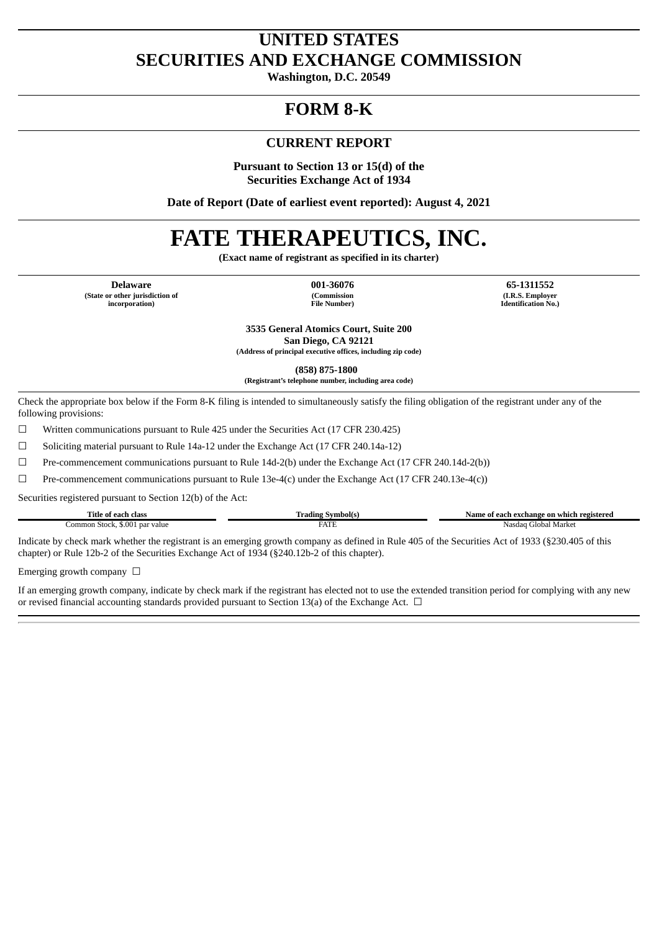# **UNITED STATES SECURITIES AND EXCHANGE COMMISSION**

**Washington, D.C. 20549**

# **FORM 8-K**

# **CURRENT REPORT**

**Pursuant to Section 13 or 15(d) of the Securities Exchange Act of 1934**

**Date of Report (Date of earliest event reported): August 4, 2021**

# **FATE THERAPEUTICS, INC.**

**(Exact name of registrant as specified in its charter)**

**Delaware 001-36076 65-1311552 (State or other jurisdiction of incorporation)**

**(Commission File Number)**

**(I.R.S. Employer Identification No.)**

**3535 General Atomics Court, Suite 200 San Diego, CA 92121**

**(Address of principal executive offices, including zip code)**

**(858) 875-1800**

**(Registrant's telephone number, including area code)**

Check the appropriate box below if the Form 8-K filing is intended to simultaneously satisfy the filing obligation of the registrant under any of the following provisions:

☐ Written communications pursuant to Rule 425 under the Securities Act (17 CFR 230.425)

☐ Soliciting material pursuant to Rule 14a-12 under the Exchange Act (17 CFR 240.14a-12)

☐ Pre-commencement communications pursuant to Rule 14d-2(b) under the Exchange Act (17 CFR 240.14d-2(b))

 $□$  Pre-commencement communications pursuant to Rule 13e-4(c) under the Exchange Act (17 CFR 240.13e-4(c))

Securities registered pursuant to Section 12(b) of the Act:

| Title of each class                                 | —<br><b>Symbol</b> s<br>rrading | Name of each exchange on which registered      |  |  |  |  |  |
|-----------------------------------------------------|---------------------------------|------------------------------------------------|--|--|--|--|--|
| S 00<br>Common<br>-par value<br>n Stock<br>.<br>___ | FATL                            | . Market<br>Global<br>Nasdac<br>_ _ _ _<br>. . |  |  |  |  |  |

Indicate by check mark whether the registrant is an emerging growth company as defined in Rule 405 of the Securities Act of 1933 (§230.405 of this chapter) or Rule 12b-2 of the Securities Exchange Act of 1934 (§240.12b-2 of this chapter).

Emerging growth company  $\ \Box$ 

If an emerging growth company, indicate by check mark if the registrant has elected not to use the extended transition period for complying with any new or revised financial accounting standards provided pursuant to Section 13(a) of the Exchange Act.  $\Box$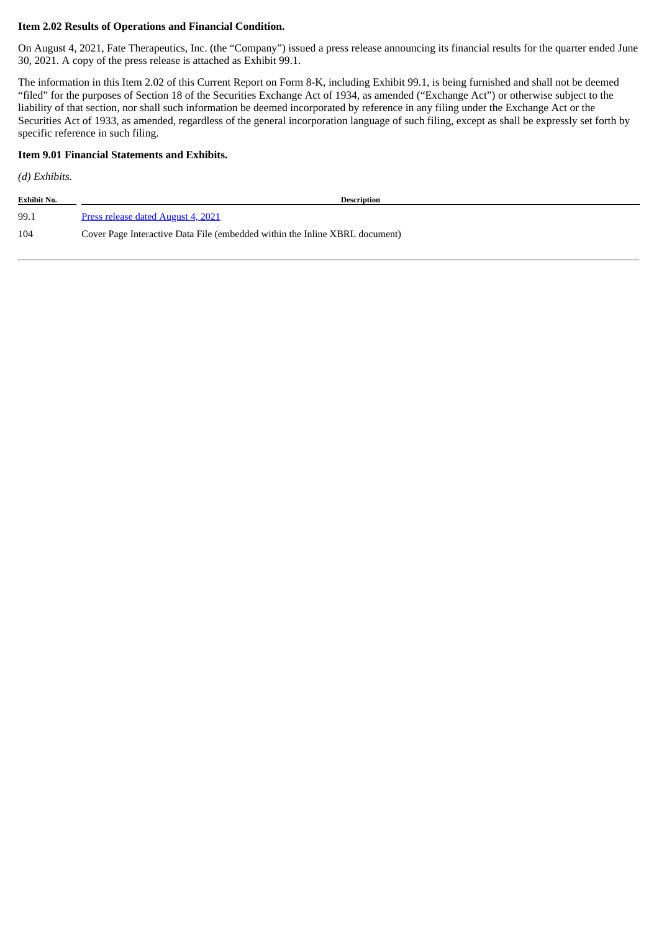## **Item 2.02 Results of Operations and Financial Condition.**

On August 4, 2021, Fate Therapeutics, Inc. (the "Company") issued a press release announcing its financial results for the quarter ended June 30, 2021. A copy of the press release is attached as Exhibit 99.1.

The information in this Item 2.02 of this Current Report on Form 8-K, including Exhibit 99.1, is being furnished and shall not be deemed "filed" for the purposes of Section 18 of the Securities Exchange Act of 1934, as amended ("Exchange Act") or otherwise subject to the liability of that section, nor shall such information be deemed incorporated by reference in any filing under the Exchange Act or the Securities Act of 1933, as amended, regardless of the general incorporation language of such filing, except as shall be expressly set forth by specific reference in such filing.

#### **Item 9.01 Financial Statements and Exhibits.**

*(d) Exhibits.*

| <b>Exhibit No.</b> | <b>Description</b>                                                          |
|--------------------|-----------------------------------------------------------------------------|
| 99.1               | Press release dated August 4, 2021                                          |
| 104                | Cover Page Interactive Data File (embedded within the Inline XBRL document) |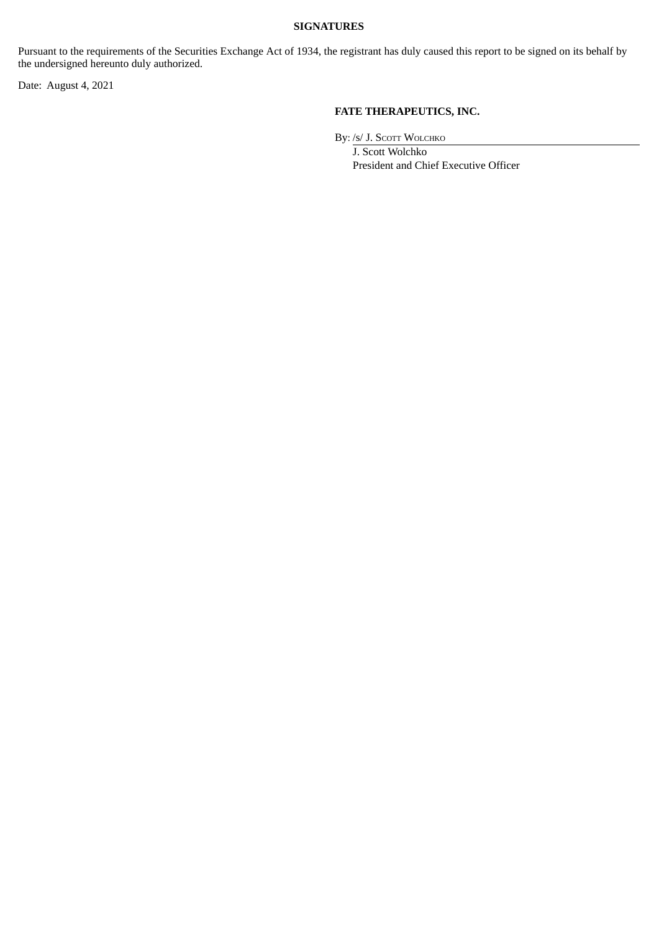# **SIGNATURES**

Pursuant to the requirements of the Securities Exchange Act of 1934, the registrant has duly caused this report to be signed on its behalf by the undersigned hereunto duly authorized.

Date: August 4, 2021

# **FATE THERAPEUTICS, INC.**

By: /s/ J. SCOTT WOLCHKO

J. Scott Wolchko President and Chief Executive Officer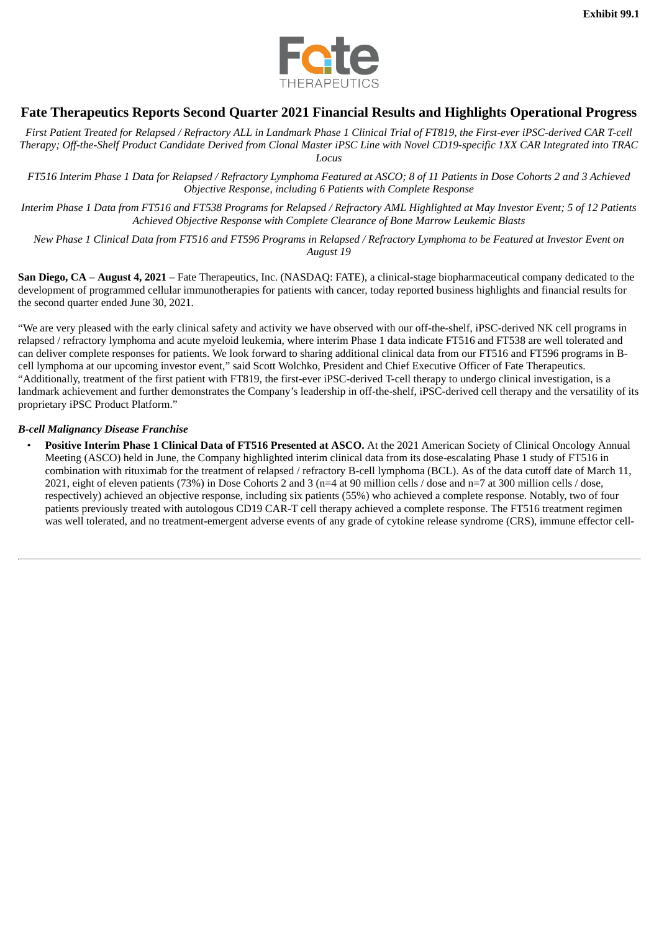

# <span id="page-3-0"></span>**Fate Therapeutics Reports Second Quarter 2021 Financial Results and Highlights Operational Progress**

First Patient Treated for Relapsed / Refractory ALL in Landmark Phase 1 Clinical Trial of FT819, the First-ever iPSC-derived CAR T-cell Therapy; Off-the-Shelf Product Candidate Derived from Clonal Master iPSC Line with Novel CD19-specific 1XX CAR Integrated into TRAC *Locus*

FT516 Interim Phase 1 Data for Relapsed / Refractory Lymphoma Featured at ASCO; 8 of 11 Patients in Dose Cohorts 2 and 3 Achieved *Objective Response, including 6 Patients with Complete Response*

Interim Phase 1 Data from FT516 and FT538 Programs for Relapsed / Refractory AML Highlighted at May Investor Event; 5 of 12 Patients *Achieved Objective Response with Complete Clearance of Bone Marrow Leukemic Blasts*

New Phase 1 Clinical Data from FT516 and FT596 Programs in Relapsed / Refractory Lymphoma to be Featured at Investor Event on *August 19*

**San Diego, CA** – **August 4, 2021** – Fate Therapeutics, Inc. (NASDAQ: FATE), a clinical-stage biopharmaceutical company dedicated to the development of programmed cellular immunotherapies for patients with cancer, today reported business highlights and financial results for the second quarter ended June 30, 2021.

"We are very pleased with the early clinical safety and activity we have observed with our off-the-shelf, iPSC-derived NK cell programs in relapsed / refractory lymphoma and acute myeloid leukemia, where interim Phase 1 data indicate FT516 and FT538 are well tolerated and can deliver complete responses for patients. We look forward to sharing additional clinical data from our FT516 and FT596 programs in Bcell lymphoma at our upcoming investor event," said Scott Wolchko, President and Chief Executive Officer of Fate Therapeutics. "Additionally, treatment of the first patient with FT819, the first-ever iPSC-derived T-cell therapy to undergo clinical investigation, is a landmark achievement and further demonstrates the Company's leadership in off-the-shelf, iPSC-derived cell therapy and the versatility of its proprietary iPSC Product Platform."

# *B-cell Malignancy Disease Franchise*

• **Positive Interim Phase 1 Clinical Data of FT516 Presented at ASCO.** At the 2021 American Society of Clinical Oncology Annual Meeting (ASCO) held in June, the Company highlighted interim clinical data from its dose-escalating Phase 1 study of FT516 in combination with rituximab for the treatment of relapsed / refractory B-cell lymphoma (BCL). As of the data cutoff date of March 11, 2021, eight of eleven patients (73%) in Dose Cohorts 2 and 3 ( $n=4$  at 90 million cells / dose and  $n=7$  at 300 million cells / dose, respectively) achieved an objective response, including six patients (55%) who achieved a complete response. Notably, two of four patients previously treated with autologous CD19 CAR-T cell therapy achieved a complete response. The FT516 treatment regimen was well tolerated, and no treatment-emergent adverse events of any grade of cytokine release syndrome (CRS), immune effector cell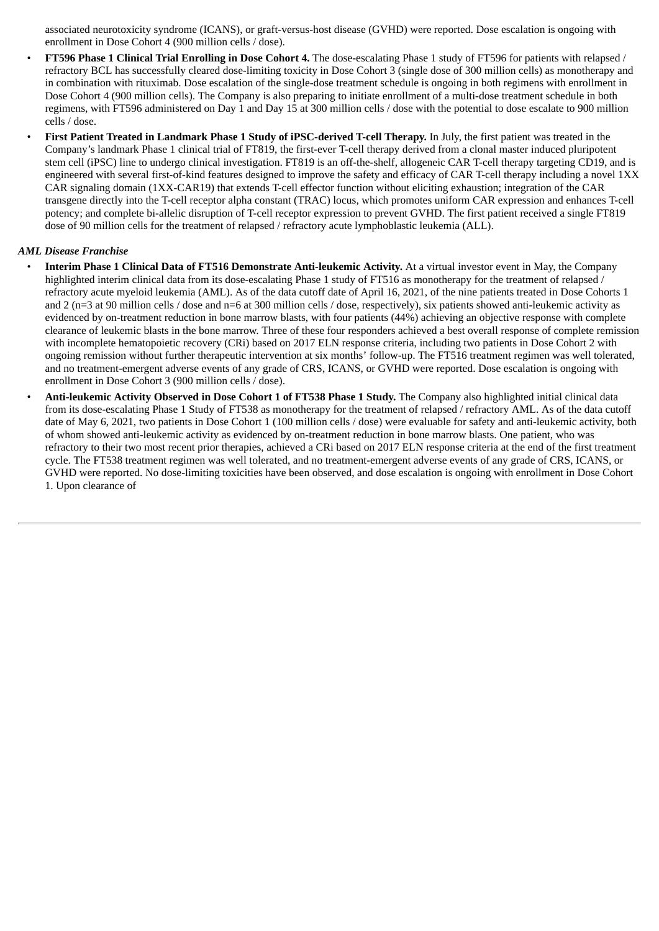associated neurotoxicity syndrome (ICANS), or graft-versus-host disease (GVHD) were reported. Dose escalation is ongoing with enrollment in Dose Cohort 4 (900 million cells / dose).

- **FT596 Phase 1 Clinical Trial Enrolling in Dose Cohort 4.** The dose-escalating Phase 1 study of FT596 for patients with relapsed / refractory BCL has successfully cleared dose-limiting toxicity in Dose Cohort 3 (single dose of 300 million cells) as monotherapy and in combination with rituximab. Dose escalation of the single-dose treatment schedule is ongoing in both regimens with enrollment in Dose Cohort 4 (900 million cells). The Company is also preparing to initiate enrollment of a multi-dose treatment schedule in both regimens, with FT596 administered on Day 1 and Day 15 at 300 million cells / dose with the potential to dose escalate to 900 million cells / dose.
- **First Patient Treated in Landmark Phase 1 Study of iPSC-derived T-cell Therapy.** In July, the first patient was treated in the Company's landmark Phase 1 clinical trial of FT819, the first-ever T-cell therapy derived from a clonal master induced pluripotent stem cell (iPSC) line to undergo clinical investigation. FT819 is an off-the-shelf, allogeneic CAR T-cell therapy targeting CD19, and is engineered with several first-of-kind features designed to improve the safety and efficacy of CAR T-cell therapy including a novel 1XX CAR signaling domain (1XX-CAR19) that extends T-cell effector function without eliciting exhaustion; integration of the CAR transgene directly into the T-cell receptor alpha constant (TRAC) locus, which promotes uniform CAR expression and enhances T-cell potency; and complete bi-allelic disruption of T-cell receptor expression to prevent GVHD. The first patient received a single FT819 dose of 90 million cells for the treatment of relapsed / refractory acute lymphoblastic leukemia (ALL).

# *AML Disease Franchise*

- **Interim Phase 1 Clinical Data of FT516 Demonstrate Anti-leukemic Activity.** At a virtual investor event in May, the Company highlighted interim clinical data from its dose-escalating Phase 1 study of FT516 as monotherapy for the treatment of relapsed / refractory acute myeloid leukemia (AML). As of the data cutoff date of April 16, 2021, of the nine patients treated in Dose Cohorts 1 and 2 (n=3 at 90 million cells / dose and n=6 at 300 million cells / dose, respectively), six patients showed anti-leukemic activity as evidenced by on-treatment reduction in bone marrow blasts, with four patients (44%) achieving an objective response with complete clearance of leukemic blasts in the bone marrow. Three of these four responders achieved a best overall response of complete remission with incomplete hematopoietic recovery (CRi) based on 2017 ELN response criteria, including two patients in Dose Cohort 2 with ongoing remission without further therapeutic intervention at six months' follow-up. The FT516 treatment regimen was well tolerated, and no treatment-emergent adverse events of any grade of CRS, ICANS, or GVHD were reported. Dose escalation is ongoing with enrollment in Dose Cohort 3 (900 million cells / dose).
- **Anti-leukemic Activity Observed in Dose Cohort 1 of FT538 Phase 1 Study.** The Company also highlighted initial clinical data from its dose-escalating Phase 1 Study of FT538 as monotherapy for the treatment of relapsed / refractory AML. As of the data cutoff date of May 6, 2021, two patients in Dose Cohort 1 (100 million cells / dose) were evaluable for safety and anti-leukemic activity, both of whom showed anti-leukemic activity as evidenced by on-treatment reduction in bone marrow blasts. One patient, who was refractory to their two most recent prior therapies, achieved a CRi based on 2017 ELN response criteria at the end of the first treatment cycle. The FT538 treatment regimen was well tolerated, and no treatment-emergent adverse events of any grade of CRS, ICANS, or GVHD were reported. No dose-limiting toxicities have been observed, and dose escalation is ongoing with enrollment in Dose Cohort 1. Upon clearance of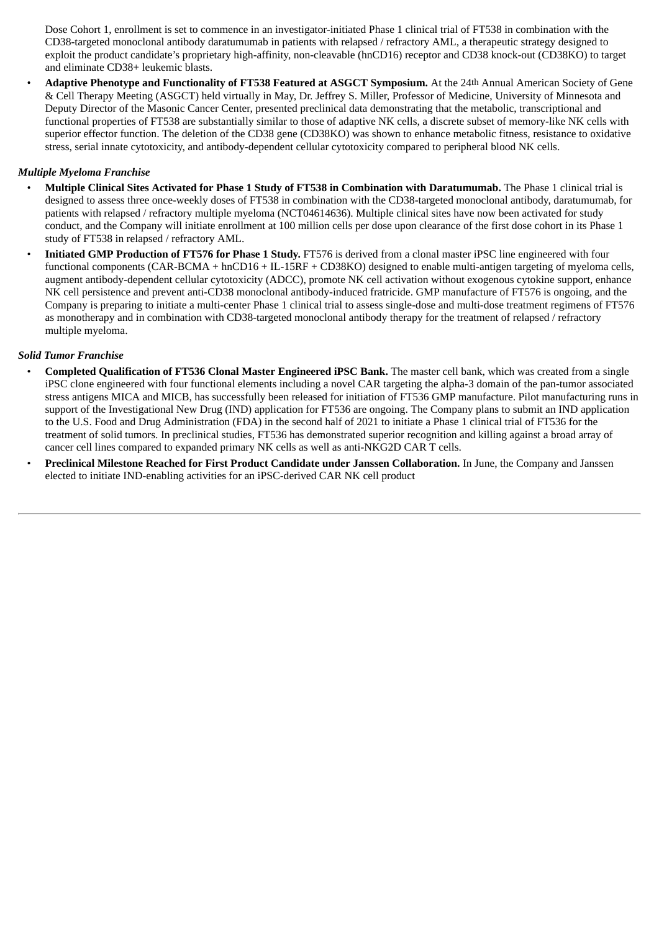Dose Cohort 1, enrollment is set to commence in an investigator-initiated Phase 1 clinical trial of FT538 in combination with the CD38-targeted monoclonal antibody daratumumab in patients with relapsed / refractory AML, a therapeutic strategy designed to exploit the product candidate's proprietary high-affinity, non-cleavable (hnCD16) receptor and CD38 knock-out (CD38KO) to target and eliminate CD38+ leukemic blasts.

• **Adaptive Phenotype and Functionality of FT538 Featured at ASGCT Symposium.** At the 24th Annual American Society of Gene & Cell Therapy Meeting (ASGCT) held virtually in May, Dr. Jeffrey S. Miller, Professor of Medicine, University of Minnesota and Deputy Director of the Masonic Cancer Center, presented preclinical data demonstrating that the metabolic, transcriptional and functional properties of FT538 are substantially similar to those of adaptive NK cells, a discrete subset of memory-like NK cells with superior effector function. The deletion of the CD38 gene (CD38KO) was shown to enhance metabolic fitness, resistance to oxidative stress, serial innate cytotoxicity, and antibody-dependent cellular cytotoxicity compared to peripheral blood NK cells.

# *Multiple Myeloma Franchise*

- **Multiple Clinical Sites Activated for Phase 1 Study of FT538 in Combination with Daratumumab.** The Phase 1 clinical trial is designed to assess three once-weekly doses of FT538 in combination with the CD38-targeted monoclonal antibody, daratumumab, for patients with relapsed / refractory multiple myeloma (NCT04614636). Multiple clinical sites have now been activated for study conduct, and the Company will initiate enrollment at 100 million cells per dose upon clearance of the first dose cohort in its Phase 1 study of FT538 in relapsed / refractory AML.
- **Initiated GMP Production of FT576 for Phase 1 Study.** FT576 is derived from a clonal master iPSC line engineered with four functional components (CAR-BCMA + hnCD16 + IL-15RF + CD38KO) designed to enable multi-antigen targeting of myeloma cells, augment antibody-dependent cellular cytotoxicity (ADCC), promote NK cell activation without exogenous cytokine support, enhance NK cell persistence and prevent anti-CD38 monoclonal antibody-induced fratricide. GMP manufacture of FT576 is ongoing, and the Company is preparing to initiate a multi-center Phase 1 clinical trial to assess single-dose and multi-dose treatment regimens of FT576 as monotherapy and in combination with CD38-targeted monoclonal antibody therapy for the treatment of relapsed / refractory multiple myeloma.

#### *Solid Tumor Franchise*

- **Completed Qualification of FT536 Clonal Master Engineered iPSC Bank.** The master cell bank, which was created from a single iPSC clone engineered with four functional elements including a novel CAR targeting the alpha-3 domain of the pan-tumor associated stress antigens MICA and MICB, has successfully been released for initiation of FT536 GMP manufacture. Pilot manufacturing runs in support of the Investigational New Drug (IND) application for FT536 are ongoing. The Company plans to submit an IND application to the U.S. Food and Drug Administration (FDA) in the second half of 2021 to initiate a Phase 1 clinical trial of FT536 for the treatment of solid tumors. In preclinical studies, FT536 has demonstrated superior recognition and killing against a broad array of cancer cell lines compared to expanded primary NK cells as well as anti-NKG2D CAR T cells.
- **Preclinical Milestone Reached for First Product Candidate under Janssen Collaboration.** In June, the Company and Janssen elected to initiate IND-enabling activities for an iPSC-derived CAR NK cell product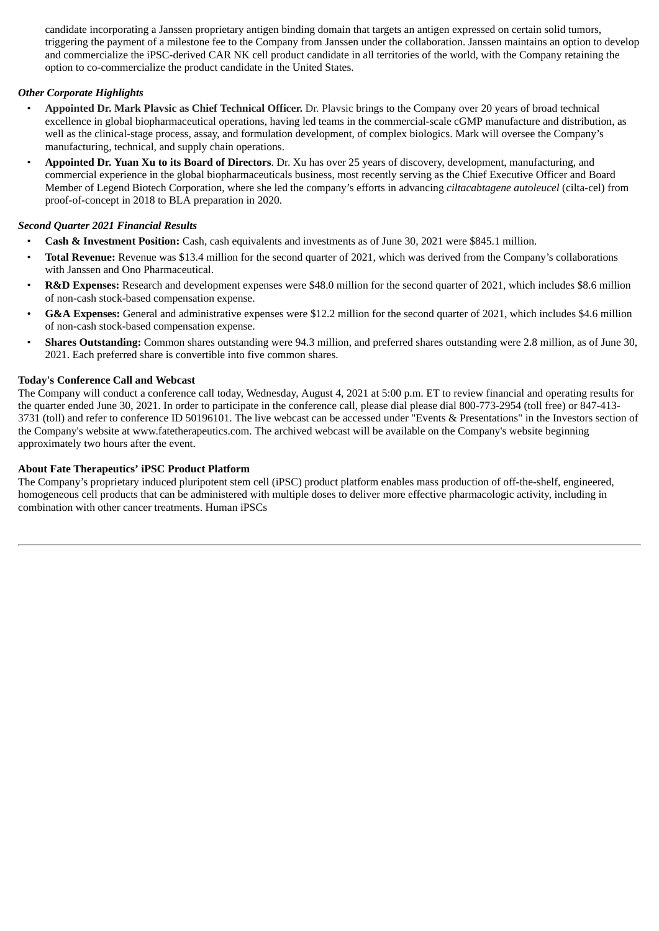candidate incorporating a Janssen proprietary antigen binding domain that targets an antigen expressed on certain solid tumors, triggering the payment of a milestone fee to the Company from Janssen under the collaboration. Janssen maintains an option to develop and commercialize the iPSC-derived CAR NK cell product candidate in all territories of the world, with the Company retaining the option to co-commercialize the product candidate in the United States.

# *Other Corporate Highlights*

- **Appointed Dr. Mark Plavsic as Chief Technical Officer.** Dr. Plavsic brings to the Company over 20 years of broad technical excellence in global biopharmaceutical operations, having led teams in the commercial-scale cGMP manufacture and distribution, as well as the clinical-stage process, assay, and formulation development, of complex biologics. Mark will oversee the Company's manufacturing, technical, and supply chain operations.
- **Appointed Dr. Yuan Xu to its Board of Directors**. Dr. Xu has over 25 years of discovery, development, manufacturing, and commercial experience in the global biopharmaceuticals business, most recently serving as the Chief Executive Officer and Board Member of Legend Biotech Corporation, where she led the company's efforts in advancing *ciltacabtagene autoleucel* (cilta-cel) from proof-of-concept in 2018 to BLA preparation in 2020.

# *Second Quarter 2021 Financial Results*

- **Cash & Investment Position:** Cash, cash equivalents and investments as of June 30, 2021 were \$845.1 million.
- **Total Revenue:** Revenue was \$13.4 million for the second quarter of 2021, which was derived from the Company's collaborations with Janssen and Ono Pharmaceutical.
- **R&D Expenses:** Research and development expenses were \$48.0 million for the second quarter of 2021, which includes \$8.6 million of non-cash stock-based compensation expense.
- **G&A Expenses:** General and administrative expenses were \$12.2 million for the second quarter of 2021, which includes \$4.6 million of non-cash stock-based compensation expense.
- **Shares Outstanding:** Common shares outstanding were 94.3 million, and preferred shares outstanding were 2.8 million, as of June 30, 2021. Each preferred share is convertible into five common shares.

# **Today's Conference Call and Webcast**

The Company will conduct a conference call today, Wednesday, August 4, 2021 at 5:00 p.m. ET to review financial and operating results for the quarter ended June 30, 2021. In order to participate in the conference call, please dial please dial 800-773-2954 (toll free) or 847-413- 3731 (toll) and refer to conference ID 50196101. The live webcast can be accessed under "Events & Presentations" in the Investors section of the Company's website at www.fatetherapeutics.com. The archived webcast will be available on the Company's website beginning approximately two hours after the event.

# **About Fate Therapeutics' iPSC Product Platform**

The Company's proprietary induced pluripotent stem cell (iPSC) product platform enables mass production of off-the-shelf, engineered, homogeneous cell products that can be administered with multiple doses to deliver more effective pharmacologic activity, including in combination with other cancer treatments. Human iPSCs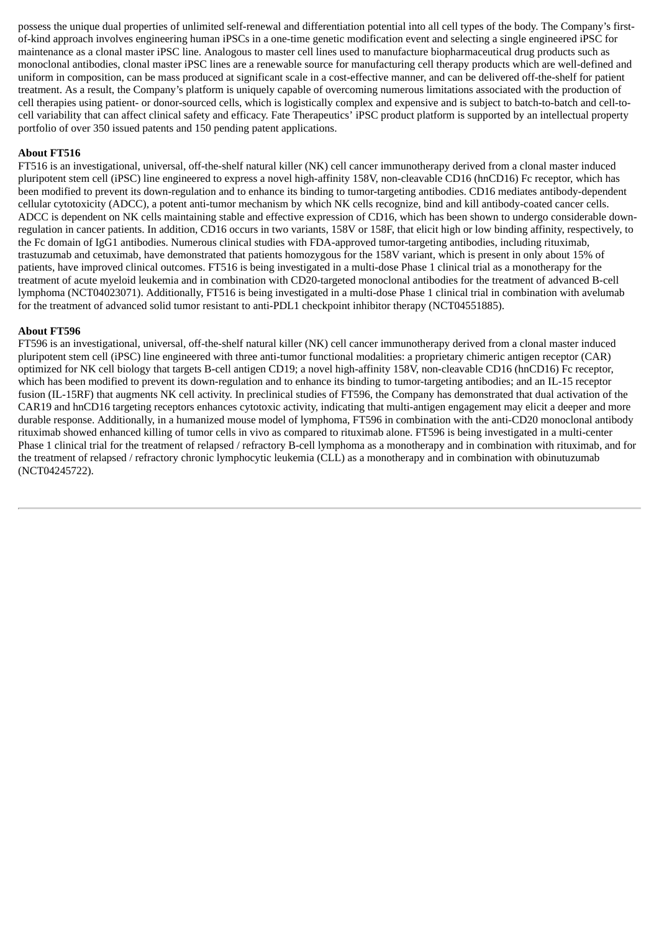possess the unique dual properties of unlimited self-renewal and differentiation potential into all cell types of the body. The Company's firstof-kind approach involves engineering human iPSCs in a one-time genetic modification event and selecting a single engineered iPSC for maintenance as a clonal master iPSC line. Analogous to master cell lines used to manufacture biopharmaceutical drug products such as monoclonal antibodies, clonal master iPSC lines are a renewable source for manufacturing cell therapy products which are well-defined and uniform in composition, can be mass produced at significant scale in a cost-effective manner, and can be delivered off-the-shelf for patient treatment. As a result, the Company's platform is uniquely capable of overcoming numerous limitations associated with the production of cell therapies using patient- or donor-sourced cells, which is logistically complex and expensive and is subject to batch-to-batch and cell-tocell variability that can affect clinical safety and efficacy. Fate Therapeutics' iPSC product platform is supported by an intellectual property portfolio of over 350 issued patents and 150 pending patent applications.

#### **About FT516**

FT516 is an investigational, universal, off-the-shelf natural killer (NK) cell cancer immunotherapy derived from a clonal master induced pluripotent stem cell (iPSC) line engineered to express a novel high-affinity 158V, non-cleavable CD16 (hnCD16) Fc receptor, which has been modified to prevent its down-regulation and to enhance its binding to tumor-targeting antibodies. CD16 mediates antibody-dependent cellular cytotoxicity (ADCC), a potent anti-tumor mechanism by which NK cells recognize, bind and kill antibody-coated cancer cells. ADCC is dependent on NK cells maintaining stable and effective expression of CD16, which has been shown to undergo considerable downregulation in cancer patients. In addition, CD16 occurs in two variants, 158V or 158F, that elicit high or low binding affinity, respectively, to the Fc domain of IgG1 antibodies. Numerous clinical studies with FDA-approved tumor-targeting antibodies, including rituximab, trastuzumab and cetuximab, have demonstrated that patients homozygous for the 158V variant, which is present in only about 15% of patients, have improved clinical outcomes. FT516 is being investigated in a multi-dose Phase 1 clinical trial as a monotherapy for the treatment of acute myeloid leukemia and in combination with CD20-targeted monoclonal antibodies for the treatment of advanced B-cell lymphoma (NCT04023071). Additionally, FT516 is being investigated in a multi-dose Phase 1 clinical trial in combination with avelumab for the treatment of advanced solid tumor resistant to anti-PDL1 checkpoint inhibitor therapy (NCT04551885).

#### **About FT596**

FT596 is an investigational, universal, off-the-shelf natural killer (NK) cell cancer immunotherapy derived from a clonal master induced pluripotent stem cell (iPSC) line engineered with three anti-tumor functional modalities: a proprietary chimeric antigen receptor (CAR) optimized for NK cell biology that targets B-cell antigen CD19; a novel high-affinity 158V, non-cleavable CD16 (hnCD16) Fc receptor, which has been modified to prevent its down-regulation and to enhance its binding to tumor-targeting antibodies; and an IL-15 receptor fusion (IL-15RF) that augments NK cell activity. In preclinical studies of FT596, the Company has demonstrated that dual activation of the CAR19 and hnCD16 targeting receptors enhances cytotoxic activity, indicating that multi-antigen engagement may elicit a deeper and more durable response. Additionally, in a humanized mouse model of lymphoma, FT596 in combination with the anti-CD20 monoclonal antibody rituximab showed enhanced killing of tumor cells in vivo as compared to rituximab alone. FT596 is being investigated in a multi-center Phase 1 clinical trial for the treatment of relapsed / refractory B-cell lymphoma as a monotherapy and in combination with rituximab, and for the treatment of relapsed / refractory chronic lymphocytic leukemia (CLL) as a monotherapy and in combination with obinutuzumab (NCT04245722).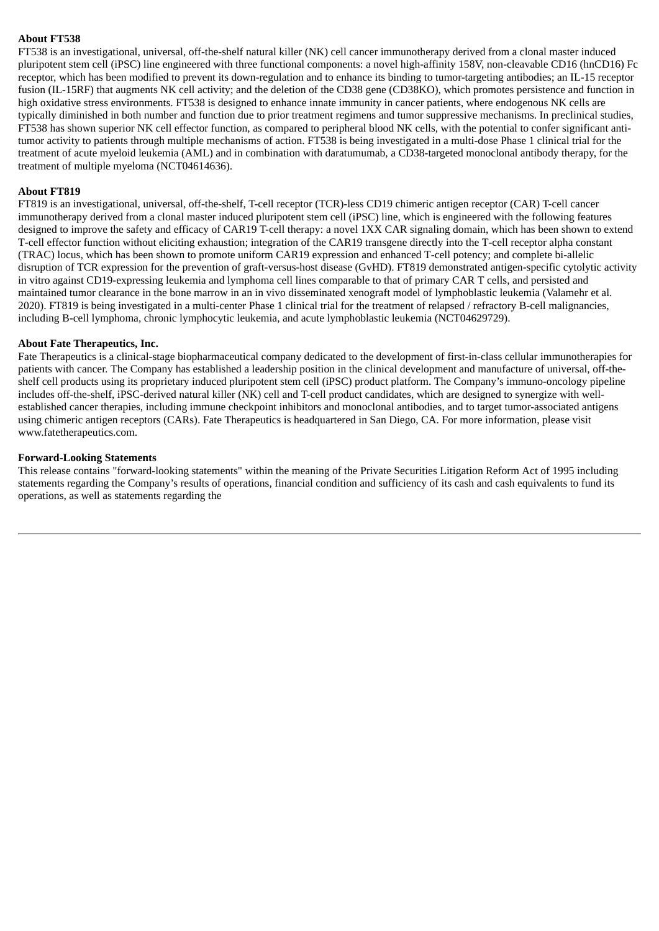# **About FT538**

FT538 is an investigational, universal, off-the-shelf natural killer (NK) cell cancer immunotherapy derived from a clonal master induced pluripotent stem cell (iPSC) line engineered with three functional components: a novel high-affinity 158V, non-cleavable CD16 (hnCD16) Fc receptor, which has been modified to prevent its down-regulation and to enhance its binding to tumor-targeting antibodies; an IL-15 receptor fusion (IL-15RF) that augments NK cell activity; and the deletion of the CD38 gene (CD38KO), which promotes persistence and function in high oxidative stress environments. FT538 is designed to enhance innate immunity in cancer patients, where endogenous NK cells are typically diminished in both number and function due to prior treatment regimens and tumor suppressive mechanisms. In preclinical studies, FT538 has shown superior NK cell effector function, as compared to peripheral blood NK cells, with the potential to confer significant antitumor activity to patients through multiple mechanisms of action. FT538 is being investigated in a multi-dose Phase 1 clinical trial for the treatment of acute myeloid leukemia (AML) and in combination with daratumumab, a CD38-targeted monoclonal antibody therapy, for the treatment of multiple myeloma (NCT04614636).

#### **About FT819**

FT819 is an investigational, universal, off-the-shelf, T-cell receptor (TCR)-less CD19 chimeric antigen receptor (CAR) T-cell cancer immunotherapy derived from a clonal master induced pluripotent stem cell (iPSC) line, which is engineered with the following features designed to improve the safety and efficacy of CAR19 T-cell therapy: a novel 1XX CAR signaling domain, which has been shown to extend T‑cell effector function without eliciting exhaustion; integration of the CAR19 transgene directly into the T‑cell receptor alpha constant (TRAC) locus, which has been shown to promote uniform CAR19 expression and enhanced T‑cell potency; and complete bi-allelic disruption of TCR expression for the prevention of graft-versus-host disease (GvHD). FT819 demonstrated antigen-specific cytolytic activity in vitro against CD19-expressing leukemia and lymphoma cell lines comparable to that of primary CAR T cells, and persisted and maintained tumor clearance in the bone marrow in an in vivo disseminated xenograft model of lymphoblastic leukemia (Valamehr et al. 2020). FT819 is being investigated in a multi-center Phase 1 clinical trial for the treatment of relapsed / refractory B-cell malignancies, including B-cell lymphoma, chronic lymphocytic leukemia, and acute lymphoblastic leukemia (NCT04629729).

#### **About Fate Therapeutics, Inc.**

Fate Therapeutics is a clinical-stage biopharmaceutical company dedicated to the development of first-in-class cellular immunotherapies for patients with cancer. The Company has established a leadership position in the clinical development and manufacture of universal, off-theshelf cell products using its proprietary induced pluripotent stem cell (iPSC) product platform. The Company's immuno-oncology pipeline includes off-the-shelf, iPSC-derived natural killer (NK) cell and T-cell product candidates, which are designed to synergize with wellestablished cancer therapies, including immune checkpoint inhibitors and monoclonal antibodies, and to target tumor-associated antigens using chimeric antigen receptors (CARs). Fate Therapeutics is headquartered in San Diego, CA. For more information, please visit www.fatetherapeutics.com.

#### **Forward-Looking Statements**

This release contains "forward-looking statements" within the meaning of the Private Securities Litigation Reform Act of 1995 including statements regarding the Company's results of operations, financial condition and sufficiency of its cash and cash equivalents to fund its operations, as well as statements regarding the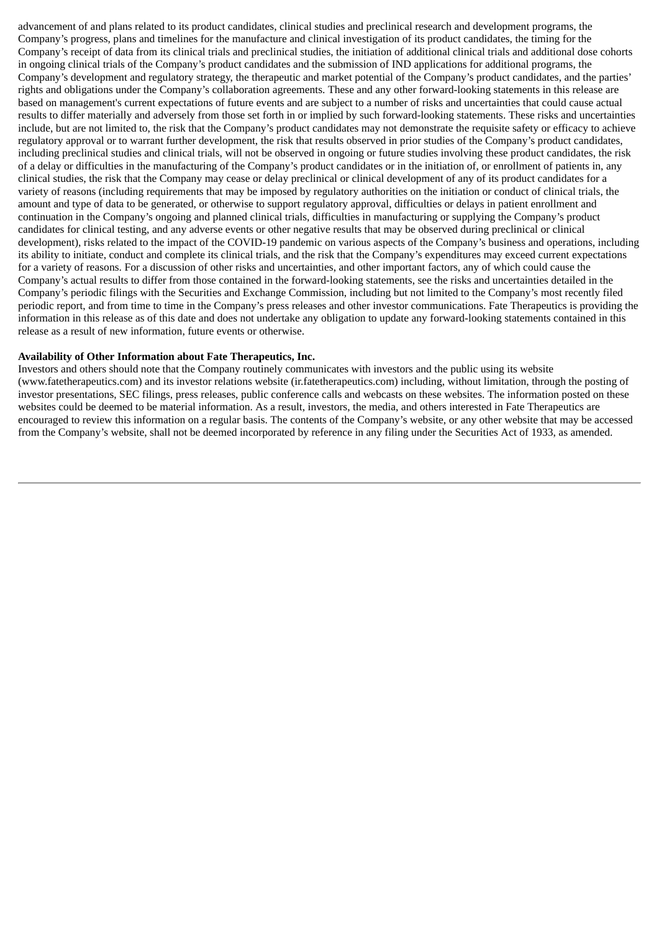advancement of and plans related to its product candidates, clinical studies and preclinical research and development programs, the Company's progress, plans and timelines for the manufacture and clinical investigation of its product candidates, the timing for the Company's receipt of data from its clinical trials and preclinical studies, the initiation of additional clinical trials and additional dose cohorts in ongoing clinical trials of the Company's product candidates and the submission of IND applications for additional programs, the Company's development and regulatory strategy, the therapeutic and market potential of the Company's product candidates, and the parties' rights and obligations under the Company's collaboration agreements. These and any other forward-looking statements in this release are based on management's current expectations of future events and are subject to a number of risks and uncertainties that could cause actual results to differ materially and adversely from those set forth in or implied by such forward-looking statements. These risks and uncertainties include, but are not limited to, the risk that the Company's product candidates may not demonstrate the requisite safety or efficacy to achieve regulatory approval or to warrant further development, the risk that results observed in prior studies of the Company's product candidates, including preclinical studies and clinical trials, will not be observed in ongoing or future studies involving these product candidates, the risk of a delay or difficulties in the manufacturing of the Company's product candidates or in the initiation of, or enrollment of patients in, any clinical studies, the risk that the Company may cease or delay preclinical or clinical development of any of its product candidates for a variety of reasons (including requirements that may be imposed by regulatory authorities on the initiation or conduct of clinical trials, the amount and type of data to be generated, or otherwise to support regulatory approval, difficulties or delays in patient enrollment and continuation in the Company's ongoing and planned clinical trials, difficulties in manufacturing or supplying the Company's product candidates for clinical testing, and any adverse events or other negative results that may be observed during preclinical or clinical development), risks related to the impact of the COVID-19 pandemic on various aspects of the Company's business and operations, including its ability to initiate, conduct and complete its clinical trials, and the risk that the Company's expenditures may exceed current expectations for a variety of reasons. For a discussion of other risks and uncertainties, and other important factors, any of which could cause the Company's actual results to differ from those contained in the forward-looking statements, see the risks and uncertainties detailed in the Company's periodic filings with the Securities and Exchange Commission, including but not limited to the Company's most recently filed periodic report, and from time to time in the Company's press releases and other investor communications. Fate Therapeutics is providing the information in this release as of this date and does not undertake any obligation to update any forward-looking statements contained in this release as a result of new information, future events or otherwise.

#### **Availability of Other Information about Fate Therapeutics, Inc.**

Investors and others should note that the Company routinely communicates with investors and the public using its website (www.fatetherapeutics.com) and its investor relations website (ir.fatetherapeutics.com) including, without limitation, through the posting of investor presentations, SEC filings, press releases, public conference calls and webcasts on these websites. The information posted on these websites could be deemed to be material information. As a result, investors, the media, and others interested in Fate Therapeutics are encouraged to review this information on a regular basis. The contents of the Company's website, or any other website that may be accessed from the Company's website, shall not be deemed incorporated by reference in any filing under the Securities Act of 1933, as amended.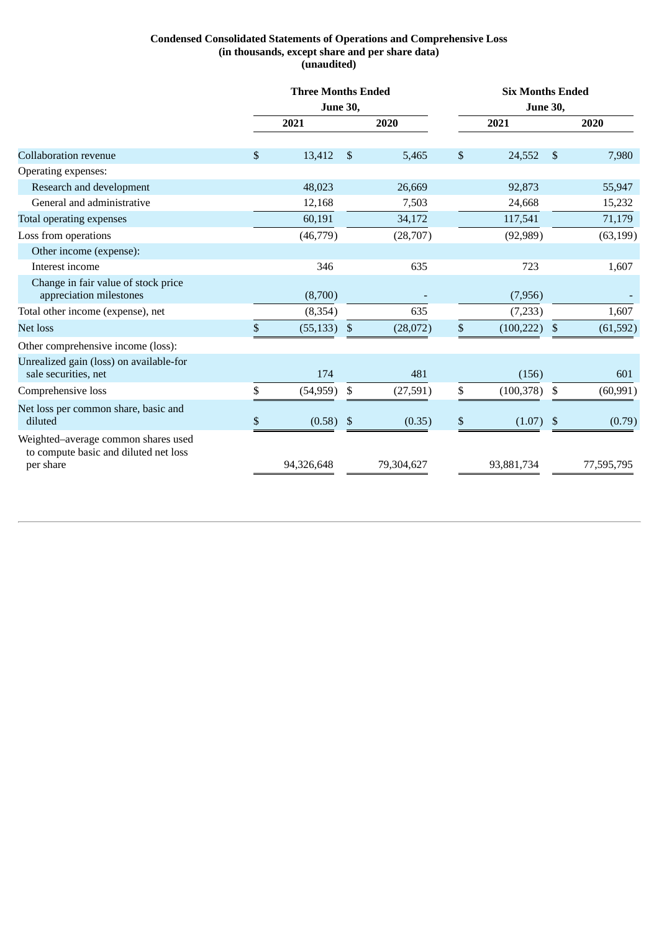## **Condensed Consolidated Statements of Operations and Comprehensive Loss (in thousands, except share and per share data) (unaudited)**

|                                                                                           | <b>Three Months Ended</b> |                 |               | <b>Six Months Ended</b> |                 |                 |            |            |
|-------------------------------------------------------------------------------------------|---------------------------|-----------------|---------------|-------------------------|-----------------|-----------------|------------|------------|
|                                                                                           |                           | <b>June 30,</b> |               |                         | <b>June 30,</b> |                 |            |            |
|                                                                                           |                           | 2021            |               | 2020                    |                 | 2021            |            | 2020       |
| <b>Collaboration revenue</b>                                                              | \$                        | 13,412          | <sup>\$</sup> | 5,465                   | \$              | 24,552          | -\$        | 7,980      |
| Operating expenses:                                                                       |                           |                 |               |                         |                 |                 |            |            |
| Research and development                                                                  |                           | 48,023          |               | 26,669                  |                 | 92,873          |            | 55,947     |
| General and administrative                                                                |                           | 12,168          |               | 7,503                   |                 | 24,668          |            | 15,232     |
| Total operating expenses                                                                  |                           | 60,191          |               | 34,172                  |                 | 117,541         |            | 71,179     |
| Loss from operations                                                                      |                           | (46, 779)       |               | (28, 707)               |                 | (92, 989)       |            | (63, 199)  |
| Other income (expense):                                                                   |                           |                 |               |                         |                 |                 |            |            |
| Interest income                                                                           |                           | 346             |               | 635                     |                 | 723             |            | 1,607      |
| Change in fair value of stock price<br>appreciation milestones                            |                           | (8,700)         |               |                         |                 | (7,956)         |            |            |
| Total other income (expense), net                                                         |                           | (8, 354)        |               | 635                     |                 | (7,233)         |            | 1,607      |
| Net loss                                                                                  | \$.                       | (55, 133)       | \$            | (28,072)                | \$              | $(100, 222)$ \$ |            | (61, 592)  |
| Other comprehensive income (loss):                                                        |                           |                 |               |                         |                 |                 |            |            |
| Unrealized gain (loss) on available-for<br>sale securities, net                           |                           | 174             |               | 481                     |                 | (156)           |            | 601        |
| Comprehensive loss                                                                        | \$                        | (54, 959)       | \$            | (27, 591)               | \$              | (100, 378)      | \$         | (60, 991)  |
| Net loss per common share, basic and<br>diluted                                           | \$                        | (0.58)          | \$            | (0.35)                  | \$              | (1.07)          | $\sqrt{3}$ | (0.79)     |
| Weighted-average common shares used<br>to compute basic and diluted net loss<br>per share |                           | 94,326,648      |               | 79,304,627              |                 | 93,881,734      |            | 77,595,795 |
|                                                                                           |                           |                 |               |                         |                 |                 |            |            |